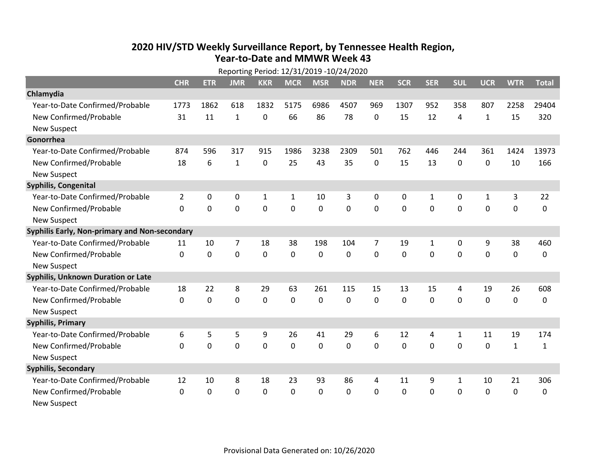## **2020 HIV /STD Weekly Surveillance Report, by Tennessee Health Region, Year‐to‐Date and MMWR Week 43**

|                                               | Reporting Period: 12/31/2019 -10/24/2020 |             |                |                |                |              |            |                |            |              |              |              |              |              |
|-----------------------------------------------|------------------------------------------|-------------|----------------|----------------|----------------|--------------|------------|----------------|------------|--------------|--------------|--------------|--------------|--------------|
|                                               | <b>CHR</b>                               | <b>ETR</b>  | <b>JMR</b>     | <b>KKR</b>     | <b>MCR</b>     | <b>MSR</b>   | <b>NDR</b> | <b>NER</b>     | <b>SCR</b> | <b>SER</b>   | <b>SUL</b>   | <b>UCR</b>   | <b>WTR</b>   | <b>Total</b> |
| Chlamydia                                     |                                          |             |                |                |                |              |            |                |            |              |              |              |              |              |
| Year-to-Date Confirmed/Probable               | 1773                                     | 1862        | 618            | 1832           | 5175           | 6986         | 4507       | 969            | 1307       | 952          | 358          | 807          | 2258         | 29404        |
| New Confirmed/Probable                        | 31                                       | 11          | $\mathbf{1}$   | 0              | 66             | 86           | 78         | $\Omega$       | 15         | 12           | 4            | $\mathbf{1}$ | 15           | 320          |
| <b>New Suspect</b>                            |                                          |             |                |                |                |              |            |                |            |              |              |              |              |              |
| Gonorrhea                                     |                                          |             |                |                |                |              |            |                |            |              |              |              |              |              |
| Year-to-Date Confirmed/Probable               | 874                                      | 596         | 317            | 915            | 1986           | 3238         | 2309       | 501            | 762        | 446          | 244          | 361          | 1424         | 13973        |
| New Confirmed/Probable                        | 18                                       | 6           | 1              | 0              | 25             | 43           | 35         | 0              | 15         | 13           | 0            | 0            | 10           | 166          |
| <b>New Suspect</b>                            |                                          |             |                |                |                |              |            |                |            |              |              |              |              |              |
| <b>Syphilis, Congenital</b>                   |                                          |             |                |                |                |              |            |                |            |              |              |              |              |              |
| Year-to-Date Confirmed/Probable               | $\overline{2}$                           | 0           | 0              | $\mathbf{1}$   | $\mathbf{1}$   | 10           | 3          | $\Omega$       | 0          | $\mathbf{1}$ | 0            | $\mathbf{1}$ | 3            | 22           |
| New Confirmed/Probable                        | $\Omega$                                 | $\Omega$    | $\Omega$       | $\overline{0}$ | $\overline{0}$ | $\mathbf 0$  | $\Omega$   | $\Omega$       | $\Omega$   | $\mathbf{0}$ | $\Omega$     | $\mathbf 0$  | 0            | 0            |
| <b>New Suspect</b>                            |                                          |             |                |                |                |              |            |                |            |              |              |              |              |              |
| Syphilis Early, Non-primary and Non-secondary |                                          |             |                |                |                |              |            |                |            |              |              |              |              |              |
| Year-to-Date Confirmed/Probable               | 11                                       | 10          | $\overline{7}$ | 18             | 38             | 198          | 104        | $\overline{7}$ | 19         | $\mathbf{1}$ | 0            | 9            | 38           | 460          |
| New Confirmed/Probable                        | $\Omega$                                 | $\mathbf 0$ | 0              | 0              | 0              | $\mathbf 0$  | 0          | 0              | 0          | $\mathbf 0$  | 0            | 0            | 0            | 0            |
| <b>New Suspect</b>                            |                                          |             |                |                |                |              |            |                |            |              |              |              |              |              |
| <b>Syphilis, Unknown Duration or Late</b>     |                                          |             |                |                |                |              |            |                |            |              |              |              |              |              |
| Year-to-Date Confirmed/Probable               | 18                                       | 22          | 8              | 29             | 63             | 261          | 115        | 15             | 13         | 15           | 4            | 19           | 26           | 608          |
| New Confirmed/Probable                        | $\Omega$                                 | $\Omega$    | 0              | 0              | 0              | $\mathbf{0}$ | 0          | $\Omega$       | $\Omega$   | $\mathbf{0}$ | 0            | 0            | 0            | 0            |
| <b>New Suspect</b>                            |                                          |             |                |                |                |              |            |                |            |              |              |              |              |              |
| <b>Syphilis, Primary</b>                      |                                          |             |                |                |                |              |            |                |            |              |              |              |              |              |
| Year-to-Date Confirmed/Probable               | 6                                        | 5           | 5              | 9              | 26             | 41           | 29         | 6              | 12         | 4            | 1            | 11           | 19           | 174          |
| New Confirmed/Probable                        | $\Omega$                                 | 0           | 0              | $\overline{0}$ | 0              | $\mathbf 0$  | 0          | $\Omega$       | $\Omega$   | $\Omega$     | 0            | 0            | $\mathbf{1}$ | $\mathbf{1}$ |
| <b>New Suspect</b>                            |                                          |             |                |                |                |              |            |                |            |              |              |              |              |              |
| <b>Syphilis, Secondary</b>                    |                                          |             |                |                |                |              |            |                |            |              |              |              |              |              |
| Year-to-Date Confirmed/Probable               | 12                                       | 10          | 8              | 18             | 23             | 93           | 86         | 4              | 11         | 9            | $\mathbf{1}$ | 10           | 21           | 306          |
| New Confirmed/Probable                        | 0                                        | $\mathbf 0$ | 0              | $\mathbf 0$    | 0              | $\mathbf 0$  | 0          | 0              | 0          | 0            | 0            | 0            | 0            | 0            |
| <b>New Suspect</b>                            |                                          |             |                |                |                |              |            |                |            |              |              |              |              |              |